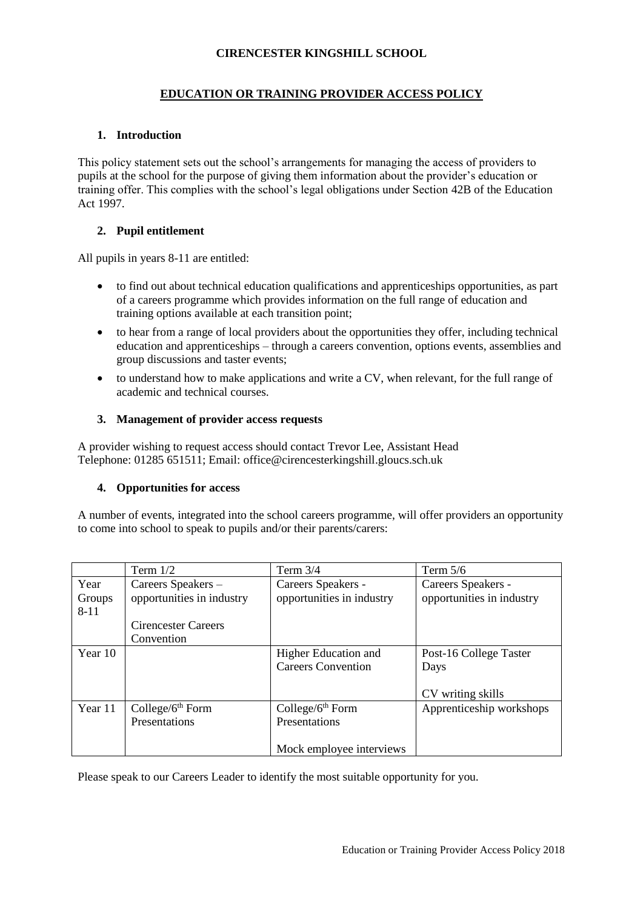# **CIRENCESTER KINGSHILL SCHOOL**

# **EDUCATION OR TRAINING PROVIDER ACCESS POLICY**

# **1. Introduction**

This policy statement sets out the school's arrangements for managing the access of providers to pupils at the school for the purpose of giving them information about the provider's education or training offer. This complies with the school's legal obligations under Section 42B of the Education Act 1997.

### **2. Pupil entitlement**

All pupils in years 8-11 are entitled:

- to find out about technical education qualifications and apprenticeships opportunities, as part of a careers programme which provides information on the full range of education and training options available at each transition point;
- to hear from a range of local providers about the opportunities they offer, including technical education and apprenticeships – through a careers convention, options events, assemblies and group discussions and taster events;
- to understand how to make applications and write a CV, when relevant, for the full range of academic and technical courses.

### **3. Management of provider access requests**

A provider wishing to request access should contact Trevor Lee, Assistant Head Telephone: 01285 651511; Email: office@cirencesterkingshill.gloucs.sch.uk

#### **4. Opportunities for access**

A number of events, integrated into the school careers programme, will offer providers an opportunity to come into school to speak to pupils and/or their parents/carers:

|          | Term $1/2$                 | Term $3/4$                | Term $5/6$                |
|----------|----------------------------|---------------------------|---------------------------|
| Year     | Careers Speakers -         | Careers Speakers -        | Careers Speakers -        |
| Groups   | opportunities in industry  | opportunities in industry | opportunities in industry |
| $8 - 11$ |                            |                           |                           |
|          | <b>Cirencester Careers</b> |                           |                           |
|          | Convention                 |                           |                           |
| Year 10  |                            | Higher Education and      | Post-16 College Taster    |
|          |                            | <b>Careers Convention</b> | Days                      |
|          |                            |                           |                           |
|          |                            |                           | CV writing skills         |
| Year 11  | College/ $6th$ Form        | College/ $6th$ Form       | Apprenticeship workshops  |
|          | Presentations              | Presentations             |                           |
|          |                            |                           |                           |
|          |                            | Mock employee interviews  |                           |

Please speak to our Careers Leader to identify the most suitable opportunity for you.